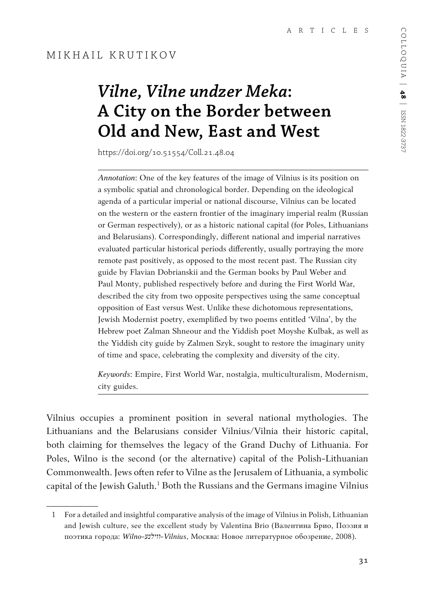# *Vilne, Vilne undzer Meka***: A City on the Border between Old and New, East and West**

https://doi.org/10.51554/Coll.21.48.04

*Annotation*: One of the key features of the image of Vilnius is its position on a symbolic spatial and chronological border. Depending on the ideological agenda of a particular imperial or national discourse, Vilnius can be located on the western or the eastern frontier of the imaginary imperial realm (Russian or German respectively), or as a historic national capital (for Poles, Lithuanians and Belarusians). Correspondingly, different national and imperial narratives evaluated particular historical periods differently, usually portraying the more remote past positively, as opposed to the most recent past. The Russian city guide by Flavian Dobrianskii and the German books by Paul Weber and Paul Monty, published respectively before and during the First World War, described the city from two opposite perspectives using the same conceptual opposition of East versus West. Unlike these dichotomous representations, Jewish Modernist poetry, exemplified by two poems entitled 'Vilna', by the Hebrew poet Zalman Shneour and the Yiddish poet Moyshe Kulbak, as well as the Yiddish city guide by Zalmen Szyk, sought to restore the imaginary unity of time and space, celebrating the complexity and diversity of the city.

*Keywords*: Empire, First World War, nostalgia, multiculturalism, Modernism, city guides.

Vilnius occupies a prominent position in several national mythologies. The Lithuanians and the Belarusians consider Vilnius/Vilnia their historic capital, both claiming for themselves the legacy of the Grand Duchy of Lithuania. For Poles, Wilno is the second (or the alternative) capital of the Polish-Lithuanian Commonwealth. Jews often refer to Vilne as the Jerusalem of Lithuania, a symbolic capital of the Jewish Galuth.<sup>1</sup> Both the Russians and the Germans imagine Vilnius

<sup>1</sup> For a detailed and insightful comparative analysis of the image of Vilnius in Polish, Lithuanian and Jewish culture, see the excellent study by Valentina Brio (Валентина Брио, Поэзия и поэтика города: *Wilno-װילנע-Vilnius*, Москва: Новое литературное обозрение, 2008).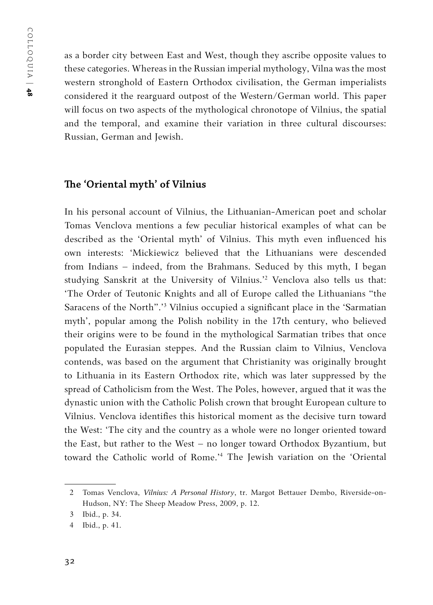as a border city between East and West, though they ascribe opposite values to these categories. Whereas in the Russian imperial mythology, Vilna was the most western stronghold of Eastern Orthodox civilisation, the German imperialists considered it the rearguard outpost of the Western/German world. This paper will focus on two aspects of the mythological chronotope of Vilnius, the spatial and the temporal, and examine their variation in three cultural discourses: Russian, German and Jewish.

#### **The 'Oriental myth' of Vilnius**

In his personal account of Vilnius, the Lithuanian-American poet and scholar Tomas Venclova mentions a few peculiar historical examples of what can be described as the 'Oriental myth' of Vilnius. This myth even influenced his own interests: 'Mickiewicz believed that the Lithuanians were descended from Indians – indeed, from the Brahmans. Seduced by this myth, I began studying Sanskrit at the University of Vilnius.'2 Venclova also tells us that: 'The Order of Teutonic Knights and all of Europe called the Lithuanians "the Saracens of the North".'3 Vilnius occupied a significant place in the 'Sarmatian myth', popular among the Polish nobility in the 17th century, who believed their origins were to be found in the mythological Sarmatian tribes that once populated the Eurasian steppes. And the Russian claim to Vilnius, Venclova contends, was based on the argument that Christianity was originally brought to Lithuania in its Eastern Orthodox rite, which was later suppressed by the spread of Catholicism from the West. The Poles, however, argued that it was the dynastic union with the Catholic Polish crown that brought European culture to Vilnius. Venclova identifies this historical moment as the decisive turn toward the West: 'The city and the country as a whole were no longer oriented toward the East, but rather to the West – no longer toward Orthodox Byzantium, but toward the Catholic world of Rome.'4 The Jewish variation on the 'Oriental

<sup>2</sup> Tomas Venclova, *Vilnius: A Personal History*, tr. Margot Bettauer Dembo, Riverside-on-Hudson, NY: The Sheep Meadow Press, 2009, p. 12.

<sup>3</sup> Ibid., p. 34.

<sup>4</sup> Ibid., p. 41.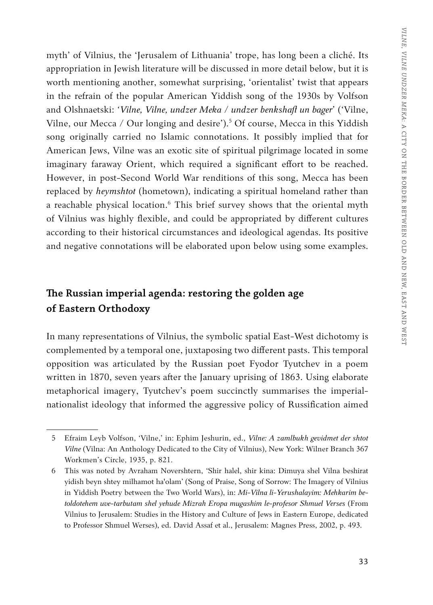myth' of Vilnius, the 'Jerusalem of Lithuania' trope, has long been a cliché. Its appropriation in Jewish literature will be discussed in more detail below, but it is worth mentioning another, somewhat surprising, 'orientalist' twist that appears in the refrain of the popular American Yiddish song of the 1930s by Volfson and Olshnaetski: *'Vilne, Vilne, undzer Meka / undzer benkshaft un bager'* ('Vilne, Vilne, our Mecca / Our longing and desire').<sup>5</sup> Of course, Mecca in this Yiddish song originally carried no Islamic connotations. It possibly implied that for American Jews, Vilne was an exotic site of spiritual pilgrimage located in some imaginary faraway Orient, which required a significant effort to be reached. However, in post-Second World War renditions of this song, Mecca has been replaced by *heymshtot* (hometown), indicating a spiritual homeland rather than a reachable physical location.<sup>6</sup> This brief survey shows that the oriental myth of Vilnius was highly flexible, and could be appropriated by different cultures according to their historical circumstances and ideological agendas. Its positive and negative connotations will be elaborated upon below using some examples.

## **The Russian imperial agenda: restoring the golden age of Eastern Orthodoxy**

In many representations of Vilnius, the symbolic spatial East-West dichotomy is complemented by a temporal one, juxtaposing two different pasts. This temporal opposition was articulated by the Russian poet Fyodor Tyutchev in a poem written in 1870, seven years after the January uprising of 1863. Using elaborate metaphorical imagery, Tyutchev's poem succinctly summarises the imperialnationalist ideology that informed the aggressive policy of Russification aimed

<sup>5</sup> Efraim Leyb Volfson, 'Vilne,' in: Ephim Jeshurin, ed., *Vilne: A zamlbukh gevidmet der shtot Vilne* (Vilna: An Anthology Dedicated to the City of Vilnius), New York: Wilner Branch 367 Workmen's Circle, 1935, p. 821.

<sup>6</sup> This was noted by Avraham Novershtern, 'Shir halel, shir kina: Dimuya shel Vilna beshirat yidish beyn shtey milhamot ha'olam' (Song of Praise, Song of Sorrow: The Imagery of Vilnius in Yiddish Poetry between the Two World Wars), in: *Mi-Vilna li-Yerushalayim: Mehkarim betoldotehem uve-tarbutam shel yehude Mizrah Eropa mugashim le-profesor Shmuel Verses* (From Vilnius to Jerusalem: Studies in the History and Culture of Jews in Eastern Europe, dedicated to Professor Shmuel Werses), ed. David Assaf et al., Jerusalem: Magnes Press, 2002, p. 493.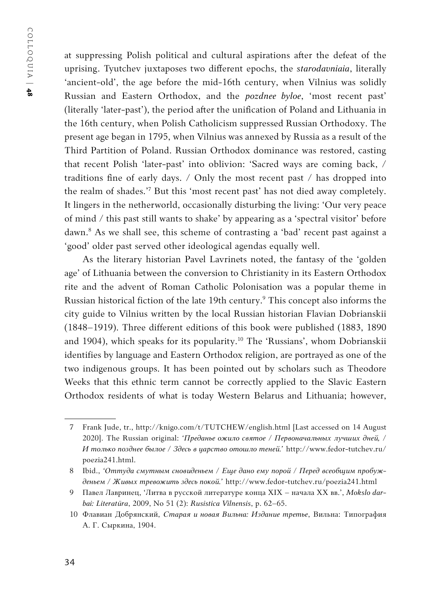at suppressing Polish political and cultural aspirations after the defeat of the uprising. Tyutchev juxtaposes two different epochs, the *starodavniaia*, literally 'ancient-old', the age before the mid-16th century, when Vilnius was solidly Russian and Eastern Orthodox, and the *pozdnee byloe*, 'most recent past' (literally 'later-past'), the period after the unification of Poland and Lithuania in the 16th century, when Polish Catholicism suppressed Russian Orthodoxy. The present age began in 1795, when Vilnius was annexed by Russia as a result of the Third Partition of Poland. Russian Orthodox dominance was restored, casting that recent Polish 'later-past' into oblivion: 'Sacred ways are coming back, / traditions fine of early days. / Only the most recent past / has dropped into the realm of shades.'7 But this 'most recent past' has not died away completely. It lingers in the netherworld, occasionally disturbing the living: 'Our very peace of mind / this past still wants to shake' by appearing as a 'spectral visitor' before dawn.8 As we shall see, this scheme of contrasting a 'bad' recent past against a 'good' older past served other ideological agendas equally well.

As the literary historian Pavel Lavrinets noted, the fantasy of the 'golden age' of Lithuania between the conversion to Christianity in its Eastern Orthodox rite and the advent of Roman Catholic Polonisation was a popular theme in Russian historical fiction of the late 19th century.9 This concept also informs the city guide to Vilnius written by the local Russian historian Flavian Dobrianskii (1848–1919). Three different editions of this book were published (1883, 1890 and 1904), which speaks for its popularity.10 The 'Russians', whom Dobrianskii identifies by language and Eastern Orthodox religion, are portrayed as one of the two indigenous groups. It has been pointed out by scholars such as Theodore Weeks that this ethnic term cannot be correctly applied to the Slavic Eastern Orthodox residents of what is today Western Belarus and Lithuania; however,

<sup>7</sup> Frank Jude, tr., http://knigo.com/t/TUTCHEW/english.html [Last accessed on 14 August 2020]. The Russian original: *'Преданье ожило святое / Первоначальных лучших дней, / И только позднее былое / Здесь в царство отошло теней.'* http://www.fedor-tutchev.ru/ poezia241.html.

<sup>8</sup> Ibid., *'Оттуда смутным сновиденьем / Еще дано ему порой / Перед всеобщим пробужденьем / Живых тревожить здесь покой.'* http://www.fedor-tutchev.ru/poezia241.html

<sup>9</sup> Павел Лавринец, 'Литва в русской литературе конца XIX – начала XX вв.', *Mokslo darbai: Literatūra*, 2009, No 51 (2): *Rusistica Vilnensis*, p. 62–65.

<sup>10</sup> Флавиан Добрянский, *Старая и новая Вильна: Издание третье*, Вильна: Типография А. Г. Сыркина, 1904.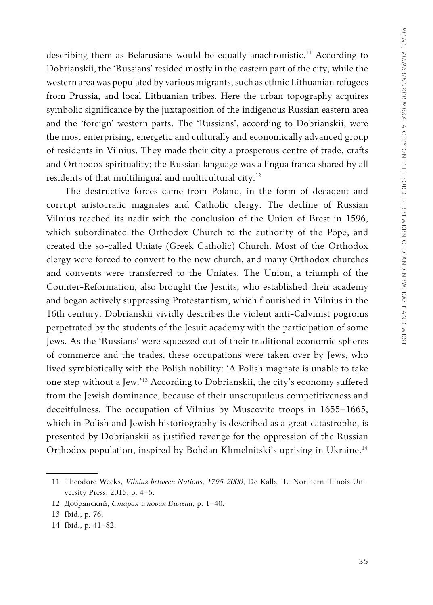describing them as Belarusians would be equally anachronistic.<sup>11</sup> According to Dobrianskii, the 'Russians' resided mostly in the eastern part of the city, while the western area was populated by various migrants, such as ethnic Lithuanian refugees from Prussia, and local Lithuanian tribes. Here the urban topography acquires symbolic significance by the juxtaposition of the indigenous Russian eastern area and the 'foreign' western parts. The 'Russians', according to Dobrianskii, were the most enterprising, energetic and culturally and economically advanced group of residents in Vilnius. They made their city a prosperous centre of trade, crafts and Orthodox spirituality; the Russian language was a lingua franca shared by all residents of that multilingual and multicultural city.<sup>12</sup>

The destructive forces came from Poland, in the form of decadent and corrupt aristocratic magnates and Catholic clergy. The decline of Russian Vilnius reached its nadir with the conclusion of the Union of Brest in 1596, which subordinated the Orthodox Church to the authority of the Pope, and created the so-called Uniate (Greek Catholic) Church. Most of the Orthodox clergy were forced to convert to the new church, and many Orthodox churches and convents were transferred to the Uniates. The Union, a triumph of the Counter-Reformation, also brought the Jesuits, who established their academy and began actively suppressing Protestantism, which flourished in Vilnius in the 16th century. Dobrianskii vividly describes the violent anti-Calvinist pogroms perpetrated by the students of the Jesuit academy with the participation of some Jews. As the 'Russians' were squeezed out of their traditional economic spheres of commerce and the trades, these occupations were taken over by Jews, who lived symbiotically with the Polish nobility: 'A Polish magnate is unable to take one step without a Jew.'13 According to Dobrianskii, the city's economy suffered from the Jewish dominance, because of their unscrupulous competitiveness and deceitfulness. The occupation of Vilnius by Muscovite troops in 1655–1665, which in Polish and Jewish historiography is described as a great catastrophe, is presented by Dobrianskii as justified revenge for the oppression of the Russian Orthodox population, inspired by Bohdan Khmelnitski's uprising in Ukraine.<sup>14</sup>

<sup>11</sup> Theodore Weeks, *Vilnius between Nations, 1795-2000*, De Kalb, IL: Northern Illinois University Press, 2015, p. 4–6.

<sup>12</sup> Добрянский, *Старая и новая Вильна*, p. 1–40.

<sup>13</sup> Ibid., p. 76.

<sup>14</sup> Ibid., p. 41–82.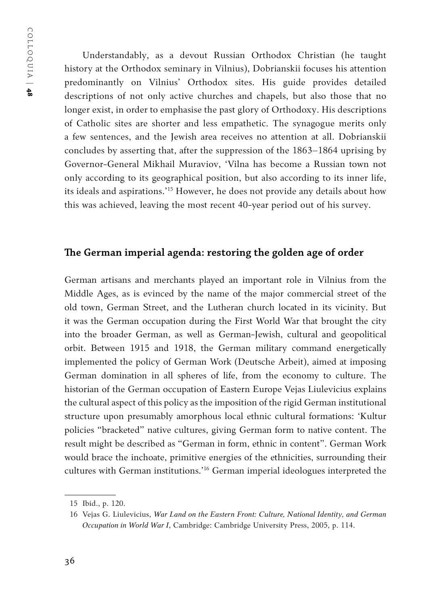Understandably, as a devout Russian Orthodox Christian (he taught history at the Orthodox seminary in Vilnius), Dobrianskii focuses his attention predominantly on Vilnius' Orthodox sites. His guide provides detailed descriptions of not only active churches and chapels, but also those that no longer exist, in order to emphasise the past glory of Orthodoxy. His descriptions of Catholic sites are shorter and less empathetic. The synagogue merits only a few sentences, and the Jewish area receives no attention at all. Dobrianskii concludes by asserting that, after the suppression of the 1863–1864 uprising by Governor-General Mikhail Muraviov, 'Vilna has become a Russian town not only according to its geographical position, but also according to its inner life, its ideals and aspirations.'15 However, he does not provide any details about how this was achieved, leaving the most recent 40-year period out of his survey.

### **The German imperial agenda: restoring the golden age of order**

German artisans and merchants played an important role in Vilnius from the Middle Ages, as is evinced by the name of the major commercial street of the old town, German Street, and the Lutheran church located in its vicinity. But it was the German occupation during the First World War that brought the city into the broader German, as well as German-Jewish, cultural and geopolitical orbit. Between 1915 and 1918, the German military command energetically implemented the policy of German Work (Deutsche Arbeit), aimed at imposing German domination in all spheres of life, from the economy to culture. The historian of the German occupation of Eastern Europe Vejas Liulevicius explains the cultural aspect of this policy as the imposition of the rigid German institutional structure upon presumably amorphous local ethnic cultural formations: 'Kultur policies "bracketed" native cultures, giving German form to native content. The result might be described as "German in form, ethnic in content". German Work would brace the inchoate, primitive energies of the ethnicities, surrounding their cultures with German institutions.'16 German imperial ideologues interpreted the

<sup>15</sup> Ibid., p. 120.

<sup>16</sup> Vejas G. Liulevicius, *War Land on the Eastern Front: Culture, National Identity, and German Occupation in World War I*, Cambridge: Cambridge University Press, 2005, p. 114.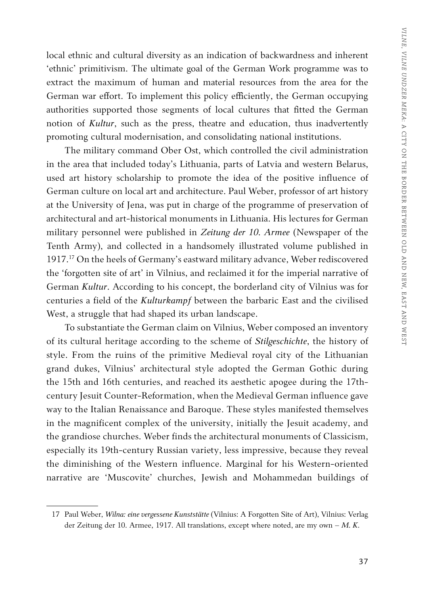local ethnic and cultural diversity as an indication of backwardness and inherent 'ethnic' primitivism. The ultimate goal of the German Work programme was to extract the maximum of human and material resources from the area for the German war effort. To implement this policy efficiently, the German occupying authorities supported those segments of local cultures that fitted the German notion of *Kultur*, such as the press, theatre and education, thus inadvertently promoting cultural modernisation, and consolidating national institutions.

The military command Ober Ost, which controlled the civil administration in the area that included today's Lithuania, parts of Latvia and western Belarus, used art history scholarship to promote the idea of the positive influence of German culture on local art and architecture. Paul Weber, professor of art history at the University of Jena, was put in charge of the programme of preservation of architectural and art-historical monuments in Lithuania. His lectures for German military personnel were published in *Zeitung der 10. Armee* (Newspaper of the Tenth Army), and collected in a handsomely illustrated volume published in 1917.17 On the heels of Germany's eastward military advance, Weber rediscovered the 'forgotten site of art' in Vilnius, and reclaimed it for the imperial narrative of German *Kultur*. According to his concept, the borderland city of Vilnius was for centuries a field of the *Kulturkampf* between the barbaric East and the civilised West, a struggle that had shaped its urban landscape.

To substantiate the German claim on Vilnius, Weber composed an inventory of its cultural heritage according to the scheme of *Stilgeschichte*, the history of style. From the ruins of the primitive Medieval royal city of the Lithuanian grand dukes, Vilnius' architectural style adopted the German Gothic during the 15th and 16th centuries, and reached its aesthetic apogee during the 17thcentury Jesuit Counter-Reformation, when the Medieval German influence gave way to the Italian Renaissance and Baroque. These styles manifested themselves in the magnificent complex of the university, initially the Jesuit academy, and the grandiose churches. Weber finds the architectural monuments of Classicism, especially its 19th-century Russian variety, less impressive, because they reveal the diminishing of the Western influence. Marginal for his Western-oriented narrative are 'Muscovite' churches, Jewish and Mohammedan buildings of

<sup>17</sup> Paul Weber, *Wilna: eine vergessene Kunststätte* (Vilnius: A Forgotten Site of Art), Vilnius: Verlag der Zeitung der 10. Armee, 1917. All translations, except where noted, are my own – *M. K.*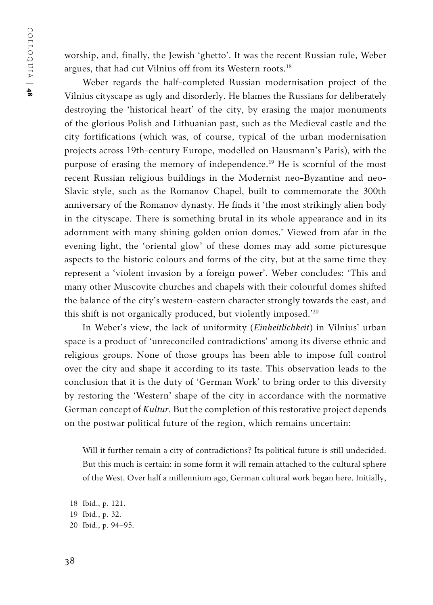worship, and, finally, the Jewish 'ghetto'. It was the recent Russian rule, Weber argues, that had cut Vilnius off from its Western roots.<sup>18</sup>

Weber regards the half-completed Russian modernisation project of the Vilnius cityscape as ugly and disorderly. He blames the Russians for deliberately destroying the 'historical heart' of the city, by erasing the major monuments of the glorious Polish and Lithuanian past, such as the Medieval castle and the city fortifications (which was, of course, typical of the urban modernisation projects across 19th-century Europe, modelled on Hausmann's Paris), with the purpose of erasing the memory of independence.<sup>19</sup> He is scornful of the most recent Russian religious buildings in the Modernist neo-Byzantine and neo-Slavic style, such as the Romanov Chapel, built to commemorate the 300th anniversary of the Romanov dynasty. He finds it 'the most strikingly alien body in the cityscape. There is something brutal in its whole appearance and in its adornment with many shining golden onion domes.' Viewed from afar in the evening light, the 'oriental glow' of these domes may add some picturesque aspects to the historic colours and forms of the city, but at the same time they represent a 'violent invasion by a foreign power'. Weber concludes: 'This and many other Muscovite churches and chapels with their colourful domes shifted the balance of the city's western-eastern character strongly towards the east, and this shift is not organically produced, but violently imposed.'20

In Weber's view, the lack of uniformity (*Einheitlichkeit*) in Vilnius' urban space is a product of 'unreconciled contradictions' among its diverse ethnic and religious groups. None of those groups has been able to impose full control over the city and shape it according to its taste. This observation leads to the conclusion that it is the duty of 'German Work' to bring order to this diversity by restoring the 'Western' shape of the city in accordance with the normative German concept of *Kultur*. But the completion of this restorative project depends on the postwar political future of the region, which remains uncertain:

Will it further remain a city of contradictions? Its political future is still undecided. But this much is certain: in some form it will remain attached to the cultural sphere of the West. Over half a millennium ago, German cultural work began here. Initially,

<sup>18</sup> Ibid., p. 121.

<sup>19</sup> Ibid., p. 32.

<sup>20</sup> Ibid., p. 94–95.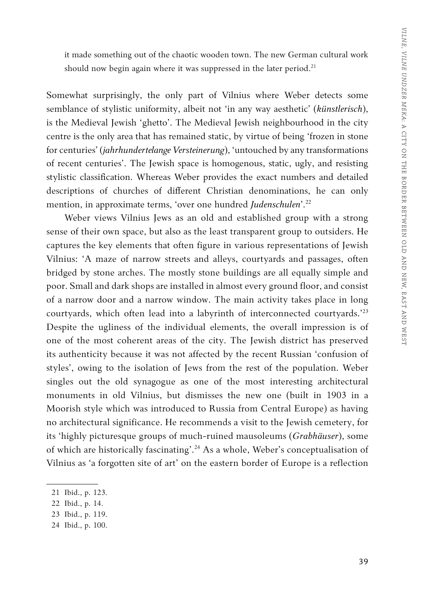it made something out of the chaotic wooden town. The new German cultural work should now begin again where it was suppressed in the later period. $21$ 

Somewhat surprisingly, the only part of Vilnius where Weber detects some semblance of stylistic uniformity, albeit not 'in any way aesthetic' (*künstlerisch*), is the Medieval Jewish 'ghetto'. The Medieval Jewish neighbourhood in the city centre is the only area that has remained static, by virtue of being 'frozen in stone for centuries' (*jahrhundertelange Versteinerung*), 'untouched by any transformations of recent centuries'. The Jewish space is homogenous, static, ugly, and resisting stylistic classification. Whereas Weber provides the exact numbers and detailed descriptions of churches of different Christian denominations, he can only mention, in approximate terms, 'over one hundred *Judenschulen*'.22

Weber views Vilnius Jews as an old and established group with a strong sense of their own space, but also as the least transparent group to outsiders. He captures the key elements that often figure in various representations of Jewish Vilnius: 'A maze of narrow streets and alleys, courtyards and passages, often bridged by stone arches. The mostly stone buildings are all equally simple and poor. Small and dark shops are installed in almost every ground floor, and consist of a narrow door and a narrow window. The main activity takes place in long courtyards, which often lead into a labyrinth of interconnected courtyards.'23 Despite the ugliness of the individual elements, the overall impression is of one of the most coherent areas of the city. The Jewish district has preserved its authenticity because it was not affected by the recent Russian 'confusion of styles', owing to the isolation of Jews from the rest of the population. Weber singles out the old synagogue as one of the most interesting architectural monuments in old Vilnius, but dismisses the new one (built in 1903 in a Moorish style which was introduced to Russia from Central Europe) as having no architectural significance. He recommends a visit to the Jewish cemetery, for its 'highly picturesque groups of much-ruined mausoleums (*Grabhäuser*), some of which are historically fascinating'.24 As a whole, Weber's conceptualisation of Vilnius as 'a forgotten site of art' on the eastern border of Europe is a reflection

<sup>21</sup> Ibid., p. 123.

<sup>22</sup> Ibid., p. 14.

<sup>23</sup> Ibid., p. 119.

<sup>24</sup> Ibid., p. 100.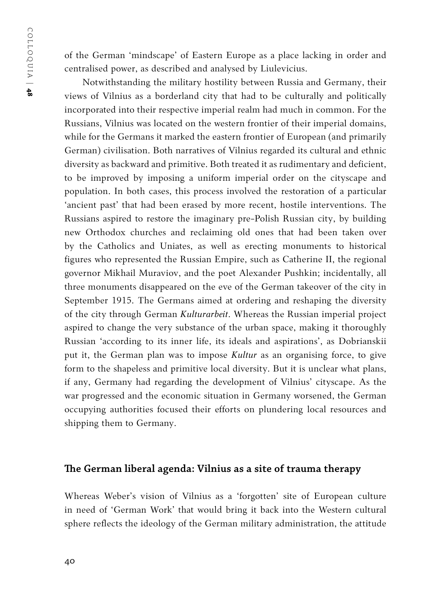of the German 'mindscape' of Eastern Europe as a place lacking in order and centralised power, as described and analysed by Liulevicius.

Notwithstanding the military hostility between Russia and Germany, their views of Vilnius as a borderland city that had to be culturally and politically incorporated into their respective imperial realm had much in common. For the Russians, Vilnius was located on the western frontier of their imperial domains, while for the Germans it marked the eastern frontier of European (and primarily German) civilisation. Both narratives of Vilnius regarded its cultural and ethnic diversity as backward and primitive. Both treated it as rudimentary and deficient, to be improved by imposing a uniform imperial order on the cityscape and population. In both cases, this process involved the restoration of a particular 'ancient past' that had been erased by more recent, hostile interventions. The Russians aspired to restore the imaginary pre-Polish Russian city, by building new Orthodox churches and reclaiming old ones that had been taken over by the Catholics and Uniates, as well as erecting monuments to historical figures who represented the Russian Empire, such as Catherine II, the regional governor Mikhail Muraviov, and the poet Alexander Pushkin; incidentally, all three monuments disappeared on the eve of the German takeover of the city in September 1915. The Germans aimed at ordering and reshaping the diversity of the city through German *Kulturarbeit*. Whereas the Russian imperial project aspired to change the very substance of the urban space, making it thoroughly Russian 'according to its inner life, its ideals and aspirations', as Dobrianskii put it, the German plan was to impose *Kultur* as an organising force, to give form to the shapeless and primitive local diversity. But it is unclear what plans, if any, Germany had regarding the development of Vilnius' cityscape. As the war progressed and the economic situation in Germany worsened, the German occupying authorities focused their efforts on plundering local resources and shipping them to Germany.

#### **The German liberal agenda: Vilnius as a site of trauma therapy**

Whereas Weber's vision of Vilnius as a 'forgotten' site of European culture in need of 'German Work' that would bring it back into the Western cultural sphere reflects the ideology of the German military administration, the attitude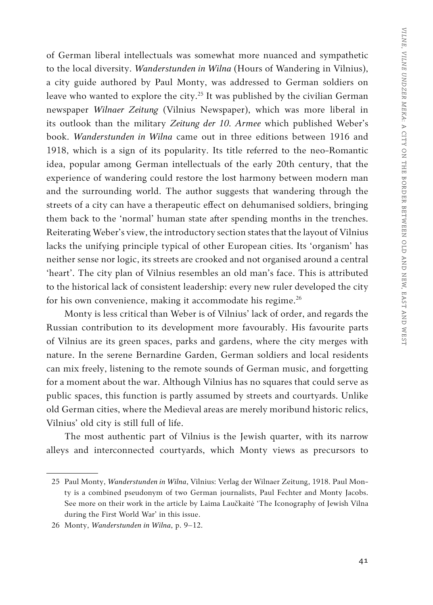of German liberal intellectuals was somewhat more nuanced and sympathetic to the local diversity. *Wanderstunden in Wilna* (Hours of Wandering in Vilnius), a city guide authored by Paul Monty, was addressed to German soldiers on leave who wanted to explore the city.<sup>25</sup> It was published by the civilian German newspaper *Wilnaer Zeitung* (Vilnius Newspaper), which was more liberal in its outlook than the military *Zeitung der 10. Armee* which published Weber's book. *Wanderstunden in Wilna* came out in three editions between 1916 and 1918, which is a sign of its popularity. Its title referred to the neo-Romantic idea, popular among German intellectuals of the early 20th century, that the experience of wandering could restore the lost harmony between modern man and the surrounding world. The author suggests that wandering through the streets of a city can have a therapeutic effect on dehumanised soldiers, bringing them back to the 'normal' human state after spending months in the trenches. Reiterating Weber's view, the introductory section states that the layout of Vilnius lacks the unifying principle typical of other European cities. Its 'organism' has neither sense nor logic, its streets are crooked and not organised around a central 'heart'. The city plan of Vilnius resembles an old man's face. This is attributed to the historical lack of consistent leadership: every new ruler developed the city for his own convenience, making it accommodate his regime.<sup>26</sup>

Monty is less critical than Weber is of Vilnius' lack of order, and regards the Russian contribution to its development more favourably. His favourite parts of Vilnius are its green spaces, parks and gardens, where the city merges with nature. In the serene Bernardine Garden, German soldiers and local residents can mix freely, listening to the remote sounds of German music, and forgetting for a moment about the war. Although Vilnius has no squares that could serve as public spaces, this function is partly assumed by streets and courtyards. Unlike old German cities, where the Medieval areas are merely moribund historic relics, Vilnius' old city is still full of life.

The most authentic part of Vilnius is the Jewish quarter, with its narrow alleys and interconnected courtyards, which Monty views as precursors to

<sup>25</sup> Paul Monty, *Wanderstunden in Wilna*, Vilnius: Verlag der Wilnaer Zeitung, 1918. Paul Monty is a combined pseudonym of two German journalists, Paul Fechter and Monty Jacobs. See more on their work in the article by Laima Laučkaitė 'The Iconography of Jewish Vilna during the First World War' in this issue.

<sup>26</sup> Monty, *Wanderstunden in Wilna*, p. 9–12.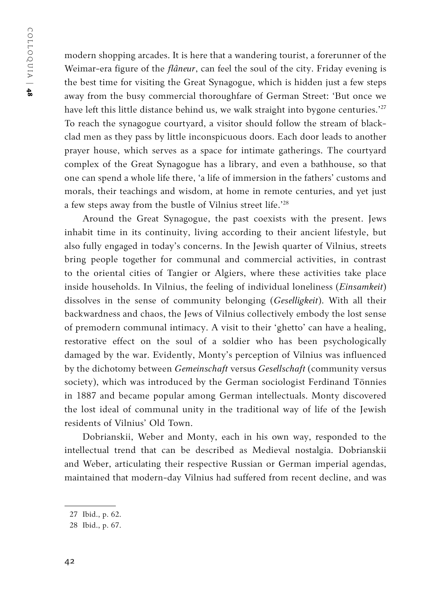modern shopping arcades. It is here that a wandering tourist, a forerunner of the Weimar-era figure of the *flâneur*, can feel the soul of the city. Friday evening is the best time for visiting the Great Synagogue, which is hidden just a few steps away from the busy commercial thoroughfare of German Street: 'But once we have left this little distance behind us, we walk straight into bygone centuries.'<sup>27</sup> To reach the synagogue courtyard, a visitor should follow the stream of blackclad men as they pass by little inconspicuous doors. Each door leads to another prayer house, which serves as a space for intimate gatherings. The courtyard complex of the Great Synagogue has a library, and even a bathhouse, so that one can spend a whole life there, 'a life of immersion in the fathers' customs and morals, their teachings and wisdom, at home in remote centuries, and yet just a few steps away from the bustle of Vilnius street life.'28

Around the Great Synagogue, the past coexists with the present. Jews inhabit time in its continuity, living according to their ancient lifestyle, but also fully engaged in today's concerns. In the Jewish quarter of Vilnius, streets bring people together for communal and commercial activities, in contrast to the oriental cities of Tangier or Algiers, where these activities take place inside households. In Vilnius, the feeling of individual loneliness (*Einsamkeit*) dissolves in the sense of community belonging (*Geselligkeit*). With all their backwardness and chaos, the Jews of Vilnius collectively embody the lost sense of premodern communal intimacy. A visit to their 'ghetto' can have a healing, restorative effect on the soul of a soldier who has been psychologically damaged by the war. Evidently, Monty's perception of Vilnius was influenced by the dichotomy between *Gemeinschaft* versus *Gesellschaft* (community versus society), which was introduced by the German sociologist Ferdinand Tönnies in 1887 and became popular among German intellectuals. Monty discovered the lost ideal of communal unity in the traditional way of life of the Jewish residents of Vilnius' Old Town.

Dobrianskii, Weber and Monty, each in his own way, responded to the intellectual trend that can be described as Medieval nostalgia. Dobrianskii and Weber, articulating their respective Russian or German imperial agendas, maintained that modern-day Vilnius had suffered from recent decline, and was

<sup>27</sup> Ibid., p. 62.

<sup>28</sup> Ibid., p. 67.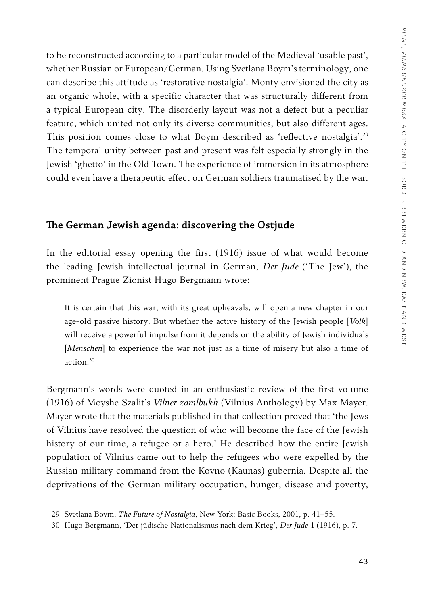to be reconstructed according to a particular model of the Medieval 'usable past', whether Russian or European/German. Using Svetlana Boym's terminology, one can describe this attitude as 'restorative nostalgia'. Monty envisioned the city as an organic whole, with a specific character that was structurally different from a typical European city. The disorderly layout was not a defect but a peculiar feature, which united not only its diverse communities, but also different ages. This position comes close to what Boym described as 'reflective nostalgia'.<sup>29</sup> The temporal unity between past and present was felt especially strongly in the Jewish 'ghetto' in the Old Town. The experience of immersion in its atmosphere could even have a therapeutic effect on German soldiers traumatised by the war.

## **The German Jewish agenda: discovering the Ostjude**

In the editorial essay opening the first (1916) issue of what would become the leading Jewish intellectual journal in German, *Der Jude* ('The Jew'), the prominent Prague Zionist Hugo Bergmann wrote:

It is certain that this war, with its great upheavals, will open a new chapter in our age-old passive history. But whether the active history of the Jewish people [*Volk*] will receive a powerful impulse from it depends on the ability of Jewish individuals [*Menschen*] to experience the war not just as a time of misery but also a time of action<sup>30</sup>

Bergmann's words were quoted in an enthusiastic review of the first volume (1916) of Moyshe Szalit's *Vilner zamlbukh* (Vilnius Anthology) by Max Mayer. Mayer wrote that the materials published in that collection proved that 'the Jews of Vilnius have resolved the question of who will become the face of the Jewish history of our time, a refugee or a hero.' He described how the entire Jewish population of Vilnius came out to help the refugees who were expelled by the Russian military command from the Kovno (Kaunas) gubernia. Despite all the deprivations of the German military occupation, hunger, disease and poverty,

<sup>29</sup> Svetlana Boym, *The Future of Nostalgia*, New York: Basic Books, 2001, p. 41–55.

<sup>30</sup> Hugo Bergmann, 'Der jüdische Nationalismus nach dem Krieg', *Der Jude* 1 (1916), p. 7.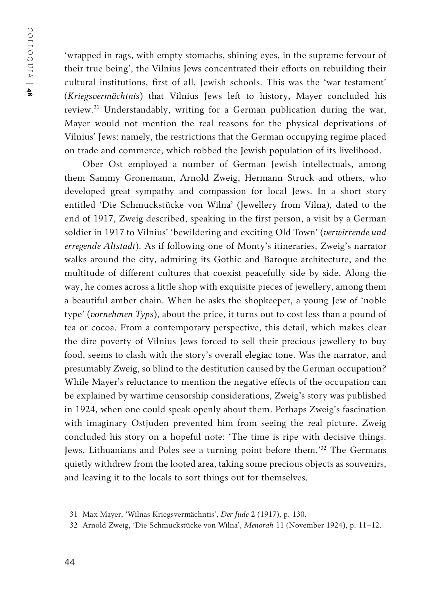'wrapped in rags, with empty stomachs, shining eyes, in the supreme fervour of their true being', the Vilnius Jews concentrated their efforts on rebuilding their cultural institutions, first of all, Jewish schools. This was the 'war testament' (*Kriegsvermächtnis*) that Vilnius Jews left to history, Mayer concluded his review.31 Understandably, writing for a German publication during the war, Mayer would not mention the real reasons for the physical deprivations of Vilnius' Jews: namely, the restrictions that the German occupying regime placed on trade and commerce, which robbed the Jewish population of its livelihood.

Ober Ost employed a number of German Jewish intellectuals, among them Sammy Gronemann, Arnold Zweig, Hermann Struck and others, who developed great sympathy and compassion for local Jews. In a short story entitled 'Die Schmuckstücke von Wilna' (Jewellery from Vilna), dated to the end of 1917, Zweig described, speaking in the first person, a visit by a German soldier in 1917 to Vilnius' 'bewildering and exciting Old Town' (*verwirrende und erregende Altstadt*). As if following one of Monty's itineraries, Zweig's narrator walks around the city, admiring its Gothic and Baroque architecture, and the multitude of different cultures that coexist peacefully side by side. Along the way, he comes across a little shop with exquisite pieces of jewellery, among them a beautiful amber chain. When he asks the shopkeeper, a young Jew of 'noble type' (*vornehmen Typs*), about the price, it turns out to cost less than a pound of tea or cocoa. From a contemporary perspective, this detail, which makes clear the dire poverty of Vilnius Jews forced to sell their precious jewellery to buy food, seems to clash with the story's overall elegiac tone. Was the narrator, and presumably Zweig, so blind to the destitution caused by the German occupation? While Mayer's reluctance to mention the negative effects of the occupation can be explained by wartime censorship considerations, Zweig's story was published in 1924, when one could speak openly about them. Perhaps Zweig's fascination with imaginary Ostjuden prevented him from seeing the real picture. Zweig concluded his story on a hopeful note: 'The time is ripe with decisive things. Jews, Lithuanians and Poles see a turning point before them.'32 The Germans quietly withdrew from the looted area, taking some precious objects as souvenirs, and leaving it to the locals to sort things out for themselves.

<sup>31</sup> Max Mayer, 'Wilnas Kriegsvermächntis', *Der Jude* 2 (1917), p. 130.

<sup>32</sup> Arnold Zweig, 'Die Schmuckstücke von Wilna', *Menorah* 11 (November 1924), p. 11–12.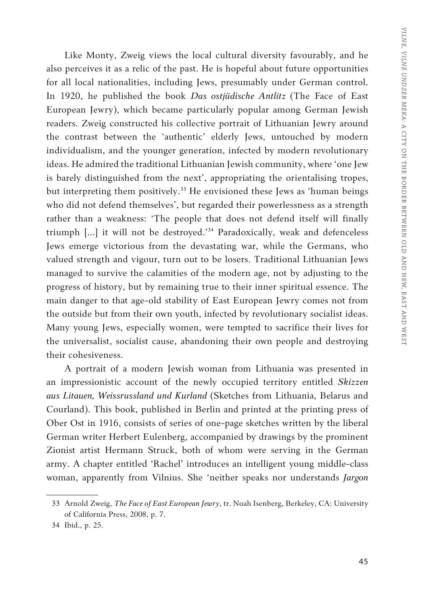Like Monty, Zweig views the local cultural diversity favourably, and he also perceives it as a relic of the past. He is hopeful about future opportunities for all local nationalities, including Jews, presumably under German control. In 1920, he published the book *Das ostjüdische Antlitz* (The Face of East European Jewry), which became particularly popular among German Jewish readers. Zweig constructed his collective portrait of Lithuanian Jewry around the contrast between the 'authentic' elderly Jews, untouched by modern individualism, and the younger generation, infected by modern revolutionary ideas. He admired the traditional Lithuanian Jewish community, where 'one Jew is barely distinguished from the next', appropriating the orientalising tropes, but interpreting them positively.<sup>33</sup> He envisioned these Jews as 'human beings who did not defend themselves', but regarded their powerlessness as a strength rather than a weakness: 'The people that does not defend itself will finally triumph […] it will not be destroyed.'34 Paradoxically, weak and defenceless Jews emerge victorious from the devastating war, while the Germans, who valued strength and vigour, turn out to be losers. Traditional Lithuanian Jews managed to survive the calamities of the modern age, not by adjusting to the progress of history, but by remaining true to their inner spiritual essence. The main danger to that age-old stability of East European Jewry comes not from the outside but from their own youth, infected by revolutionary socialist ideas. Many young Jews, especially women, were tempted to sacrifice their lives for the universalist, socialist cause, abandoning their own people and destroying their cohesiveness.

A portrait of a modern Jewish woman from Lithuania was presented in an impressionistic account of the newly occupied territory entitled *Skizzen aus Litauen, Weissrussland und Kurland* (Sketches from Lithuania, Belarus and Courland). This book, published in Berlin and printed at the printing press of Ober Ost in 1916, consists of series of one-page sketches written by the liberal German writer Herbert Eulenberg, accompanied by drawings by the prominent Zionist artist Hermann Struck, both of whom were serving in the German army. A chapter entitled 'Rachel' introduces an intelligent young middle-class woman, apparently from Vilnius. She 'neither speaks nor understands *Jargon* 

<sup>33</sup> Arnold Zweig, *The Face of East European Jewry*, tr. Noah Isenberg, Berkeley, CA: University of California Press, 2008, p. 7.

<sup>34</sup> Ibid., p. 25.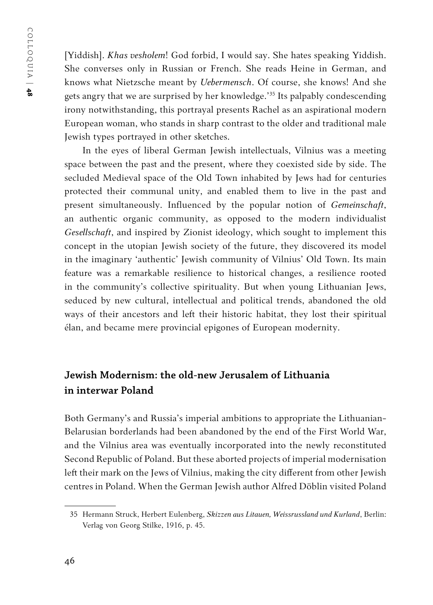[Yiddish]. *Khas vesholem*! God forbid, I would say. She hates speaking Yiddish. She converses only in Russian or French. She reads Heine in German, and knows what Nietzsche meant by *Uebermensch*. Of course, she knows! And she gets angry that we are surprised by her knowledge.'35 Its palpably condescending irony notwithstanding, this portrayal presents Rachel as an aspirational modern European woman, who stands in sharp contrast to the older and traditional male Jewish types portrayed in other sketches.

In the eyes of liberal German Jewish intellectuals, Vilnius was a meeting space between the past and the present, where they coexisted side by side. The secluded Medieval space of the Old Town inhabited by Jews had for centuries protected their communal unity, and enabled them to live in the past and present simultaneously. Influenced by the popular notion of *Gemeinschaft*, an authentic organic community, as opposed to the modern individualist *Gesellschaft*, and inspired by Zionist ideology, which sought to implement this concept in the utopian Jewish society of the future, they discovered its model in the imaginary 'authentic' Jewish community of Vilnius' Old Town. Its main feature was a remarkable resilience to historical changes, a resilience rooted in the community's collective spirituality. But when young Lithuanian Jews, seduced by new cultural, intellectual and political trends, abandoned the old ways of their ancestors and left their historic habitat, they lost their spiritual élan, and became mere provincial epigones of European modernity.

## **Jewish Modernism: the old-new Jerusalem of Lithuania in interwar Poland**

Both Germany's and Russia's imperial ambitions to appropriate the Lithuanian-Belarusian borderlands had been abandoned by the end of the First World War, and the Vilnius area was eventually incorporated into the newly reconstituted Second Republic of Poland. But these aborted projects of imperial modernisation left their mark on the Jews of Vilnius, making the city different from other Jewish centres in Poland. When the German Jewish author Alfred Döblin visited Poland

<sup>35</sup> Hermann Struck, Herbert Eulenberg, *Skizzen aus Litauen, Weissrussland und Kurland*, Berlin: Verlag von Georg Stilke, 1916, p. 45.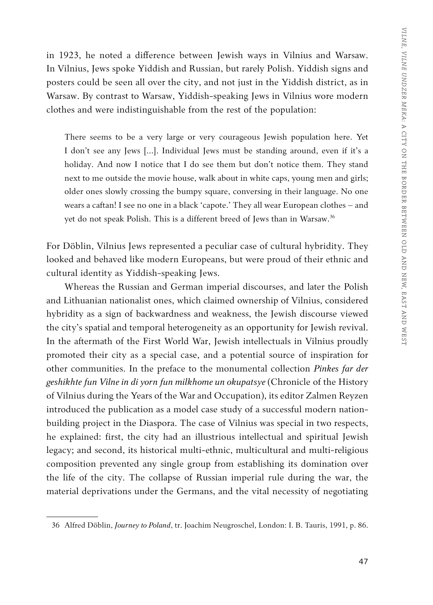in 1923, he noted a difference between Jewish ways in Vilnius and Warsaw. In Vilnius, Jews spoke Yiddish and Russian, but rarely Polish. Yiddish signs and posters could be seen all over the city, and not just in the Yiddish district, as in Warsaw. By contrast to Warsaw, Yiddish-speaking Jews in Vilnius wore modern clothes and were indistinguishable from the rest of the population:

There seems to be a very large or very courageous Jewish population here. Yet I don't see any Jews […]. Individual Jews must be standing around, even if it's a holiday. And now I notice that I do see them but don't notice them. They stand next to me outside the movie house, walk about in white caps, young men and girls; older ones slowly crossing the bumpy square, conversing in their language. No one wears a caftan! I see no one in a black 'capote.' They all wear European clothes – and yet do not speak Polish. This is a different breed of Jews than in Warsaw.<sup>36</sup>

For Döblin, Vilnius Jews represented a peculiar case of cultural hybridity. They looked and behaved like modern Europeans, but were proud of their ethnic and cultural identity as Yiddish-speaking Jews.

Whereas the Russian and German imperial discourses, and later the Polish and Lithuanian nationalist ones, which claimed ownership of Vilnius, considered hybridity as a sign of backwardness and weakness, the Jewish discourse viewed the city's spatial and temporal heterogeneity as an opportunity for Jewish revival. In the aftermath of the First World War, Jewish intellectuals in Vilnius proudly promoted their city as a special case, and a potential source of inspiration for other communities. In the preface to the monumental collection *Pinkes far der geshikhte fun Vilne in di yorn fun milkhome un okupatsye* (Chronicle of the History of Vilnius during the Years of the War and Occupation), its editor Zalmen Reyzen introduced the publication as a model case study of a successful modern nationbuilding project in the Diaspora. The case of Vilnius was special in two respects, he explained: first, the city had an illustrious intellectual and spiritual Jewish legacy; and second, its historical multi-ethnic, multicultural and multi-religious composition prevented any single group from establishing its domination over the life of the city. The collapse of Russian imperial rule during the war, the material deprivations under the Germans, and the vital necessity of negotiating

<sup>36</sup> Alfred Döblin, *Journey to Poland*, tr. Joachim Neugroschel, London: I. B. Tauris, 1991, p. 86.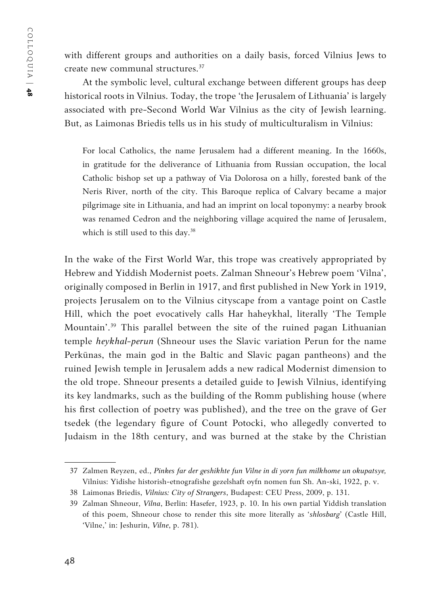with different groups and authorities on a daily basis, forced Vilnius Jews to create new communal structures.37

At the symbolic level, cultural exchange between different groups has deep historical roots in Vilnius. Today, the trope 'the Jerusalem of Lithuania' is largely associated with pre-Second World War Vilnius as the city of Jewish learning. But, as Laimonas Briedis tells us in his study of multiculturalism in Vilnius:

For local Catholics, the name Jerusalem had a different meaning. In the 1660s, in gratitude for the deliverance of Lithuania from Russian occupation, the local Catholic bishop set up a pathway of Via Dolorosa on a hilly, forested bank of the Neris River, north of the city. This Baroque replica of Calvary became a major pilgrimage site in Lithuania, and had an imprint on local toponymy: a nearby brook was renamed Cedron and the neighboring village acquired the name of Jerusalem, which is still used to this day.<sup>38</sup>

In the wake of the First World War, this trope was creatively appropriated by Hebrew and Yiddish Modernist poets. Zalman Shneour's Hebrew poem 'Vilna', originally composed in Berlin in 1917, and first published in New York in 1919, projects Jerusalem on to the Vilnius cityscape from a vantage point on Castle Hill, which the poet evocatively calls Har haheykhal, literally 'The Temple Mountain'.<sup>39</sup> This parallel between the site of the ruined pagan Lithuanian temple *heykhal-perun* (Shneour uses the Slavic variation Perun for the name Perkūnas, the main god in the Baltic and Slavic pagan pantheons) and the ruined Jewish temple in Jerusalem adds a new radical Modernist dimension to the old trope. Shneour presents a detailed guide to Jewish Vilnius, identifying its key landmarks, such as the building of the Romm publishing house (where his first collection of poetry was published), and the tree on the grave of Ger tsedek (the legendary figure of Count Potocki, who allegedly converted to Judaism in the 18th century, and was burned at the stake by the Christian

<sup>37</sup> Zalmen Reyzen, ed., *Pinkes far der geshikhte fun Vilne in di yorn fun milkhome un okupatsye,*  Vilnius: Yidishe historish-etnografishe gezelshaft oyfn nomen fun Sh. An-ski, 1922, p. v.

<sup>38</sup> Laimonas Briedis, *Vilnius: City of Strangers*, Budapest: CEU Press, 2009, p. 131.

<sup>39</sup> Zalman Shneour, *Vilna*, Berlin: Hasefer, 1923, p. 10. In his own partial Yiddish translation of this poem, Shneour chose to render this site more literally as '*shlosbarg*' (Castle Hill, 'Vilne,' in: Jeshurin, *Vilne*, p. 781).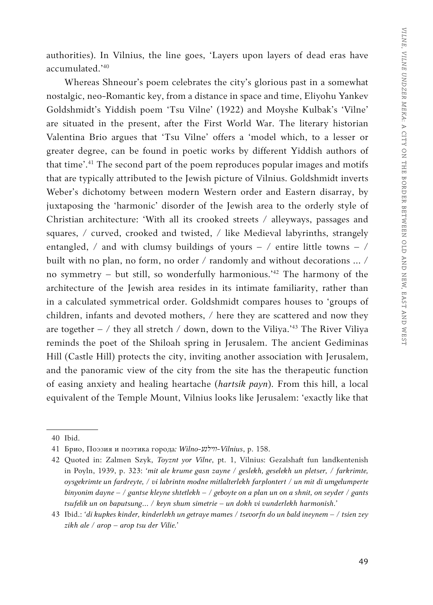authorities). In Vilnius, the line goes, 'Layers upon layers of dead eras have accumulated.'40

Whereas Shneour's poem celebrates the city's glorious past in a somewhat nostalgic, neo-Romantic key, from a distance in space and time, Eliyohu Yankev Goldshmidt's Yiddish poem 'Tsu Vilne' (1922) and Moyshe Kulbak's 'Vilne' are situated in the present, after the First World War. The literary historian Valentina Brio argues that 'Tsu Vilne' offers a 'model which, to a lesser or greater degree, can be found in poetic works by different Yiddish authors of that time'.41 The second part of the poem reproduces popular images and motifs that are typically attributed to the Jewish picture of Vilnius. Goldshmidt inverts Weber's dichotomy between modern Western order and Eastern disarray, by juxtaposing the 'harmonic' disorder of the Jewish area to the orderly style of Christian architecture: 'With all its crooked streets / alleyways, passages and squares, / curved, crooked and twisted, / like Medieval labyrinths, strangely entangled,  $\ell$  and with clumsy buildings of yours –  $\ell$  entire little towns –  $\ell$ built with no plan, no form, no order / randomly and without decorations … / no symmetry – but still, so wonderfully harmonious.<sup> $12$ </sup> The harmony of the architecture of the Jewish area resides in its intimate familiarity, rather than in a calculated symmetrical order. Goldshmidt compares houses to 'groups of children, infants and devoted mothers, / here they are scattered and now they are together – / they all stretch / down, down to the Viliya.<sup>'43</sup> The River Viliya reminds the poet of the Shiloah spring in Jerusalem. The ancient Gediminas Hill (Castle Hill) protects the city, inviting another association with Jerusalem, and the panoramic view of the city from the site has the therapeutic function of easing anxiety and healing heartache (*hartsik payn*). From this hill, a local equivalent of the Temple Mount, Vilnius looks like Jerusalem: 'exactly like that

<sup>40</sup> Ibid.

<sup>41</sup> Брио, Поэзия и поэтика города*: Wilno-װילנע-Vilnius*, p. 158.

<sup>42</sup> Quoted in: Zalmen Szyk, *Toyznt yor Vilne*, pt. 1, Vilnius: Gezalshaft fun landkentenish in Poyln, 1939, p. 323: *'mit ale krume gasn zayne / geslekh, geselekh un pletser, / farkrimte, oysgekrimte un fardreyte, / vi labrintn modne mitlalterlekh farplontert / un mit di umgelumperte binyonim dayne – / gantse kleyne shtetlekh – / geboyte on a plan un on a shnit, on seyder / gants tsufelik un on baputsung… / keyn shum simetrie – un dokh vi vunderlekh harmonish.'*

<sup>43</sup> Ibid.: *'di kupkes kinder, kinderlekh un getraye mames / tsevorfn do un bald ineynem – / tsien zey zikh ale / arop – arop tsu der Vilie.'*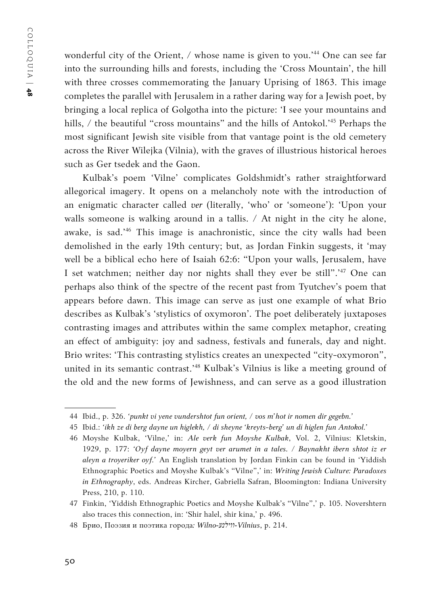wonderful city of the Orient, / whose name is given to you.'44 One can see far into the surrounding hills and forests, including the 'Cross Mountain', the hill with three crosses commemorating the January Uprising of 1863. This image completes the parallel with Jerusalem in a rather daring way for a Jewish poet, by bringing a local replica of Golgotha into the picture: 'I see your mountains and hills, / the beautiful "cross mountains" and the hills of Antokol.<sup>45</sup> Perhaps the most significant Jewish site visible from that vantage point is the old cemetery across the River Wilejka (Vilnia), with the graves of illustrious historical heroes such as Ger tsedek and the Gaon.

Kulbak's poem 'Vilne' complicates Goldshmidt's rather straightforward allegorical imagery. It opens on a melancholy note with the introduction of an enigmatic character called *ver* (literally, 'who' or 'someone'): 'Upon your walls someone is walking around in a tallis. / At night in the city he alone, awake, is sad.'46 This image is anachronistic, since the city walls had been demolished in the early 19th century; but, as Jordan Finkin suggests, it 'may well be a biblical echo here of Isaiah 62:6: "Upon your walls, Jerusalem, have I set watchmen; neither day nor nights shall they ever be still".<sup>147</sup> One can perhaps also think of the spectre of the recent past from Tyutchev's poem that appears before dawn. This image can serve as just one example of what Brio describes as Kulbak's 'stylistics of oxymoron'. The poet deliberately juxtaposes contrasting images and attributes within the same complex metaphor, creating an effect of ambiguity: joy and sadness, festivals and funerals, day and night. Brio writes: 'This contrasting stylistics creates an unexpected "city-oxymoron", united in its semantic contrast.'48 Kulbak's Vilnius is like a meeting ground of the old and the new forms of Jewishness, and can serve as a good illustration

<sup>44</sup> Ibid., p. 326. *'punkt vi yene vundershtot fun orient, / vos m'hot ir nomen dir gegebn.'*

<sup>45</sup> Ibid.: *'ikh ze di berg dayne un higlekh, / di sheyne 'kreyts-berg' un di higlen fun Antokol.'*

<sup>46</sup> Moyshe Kulbak, 'Vilne,' in: *Ale verk fun Moyshe Kulbak*, Vol. 2, Vilnius: Kletskin, 1929, p. 177: *'Oyf dayne moyern geyt ver arumet in a tales. / Baynakht ibern shtot iz er aleyn a troyeriker oyf.'* An English translation by Jordan Finkin can be found in 'Yiddish Ethnographic Poetics and Moyshe Kulbak's "Vilne",' in: *Writing Jewish Culture: Paradoxes in Ethnography*, eds. Andreas Kircher, Gabriella Safran, Bloomington: Indiana University Press, 210, p. 110.

<sup>47</sup> Finkin, 'Yiddish Ethnographic Poetics and Moyshe Kulbak's "Vilne",' p. 105. Novershtern also traces this connection, in: 'Shir halel, shir kina,' p. 496.

<sup>48</sup> Брио, Поэзия и поэтика города*: Wilno-װילנע-Vilnius*, p. 214.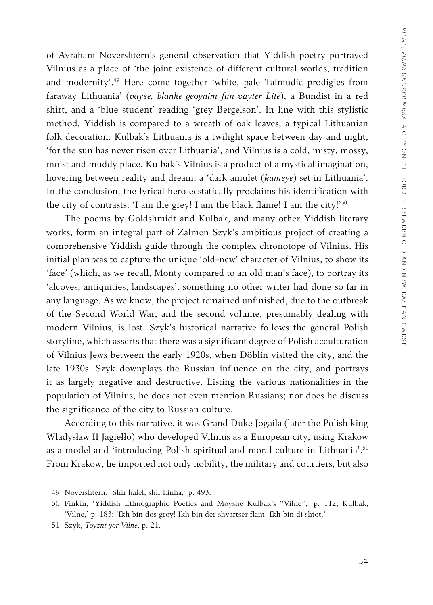of Avraham Novershtern's general observation that Yiddish poetry portrayed Vilnius as a place of 'the joint existence of different cultural worlds, tradition and modernity'.49 Here come together 'white, pale Talmudic prodigies from faraway Lithuania' (*vayse, blanke geoynim fun vayter Lite*), a Bundist in a red shirt, and a 'blue student' reading 'grey Bergelson'. In line with this stylistic method, Yiddish is compared to a wreath of oak leaves, a typical Lithuanian folk decoration. Kulbak's Lithuania is a twilight space between day and night, 'for the sun has never risen over Lithuania', and Vilnius is a cold, misty, mossy, moist and muddy place. Kulbak's Vilnius is a product of a mystical imagination, hovering between reality and dream, a 'dark amulet (*kameye*) set in Lithuania'. In the conclusion, the lyrical hero ecstatically proclaims his identification with the city of contrasts: 'I am the grey! I am the black flame! I am the city!'<sup>50</sup>

The poems by Goldshmidt and Kulbak, and many other Yiddish literary works, form an integral part of Zalmen Szyk's ambitious project of creating a comprehensive Yiddish guide through the complex chronotope of Vilnius. His initial plan was to capture the unique 'old-new' character of Vilnius, to show its 'face' (which, as we recall, Monty compared to an old man's face), to portray its 'alcoves, antiquities, landscapes', something no other writer had done so far in any language. As we know, the project remained unfinished, due to the outbreak of the Second World War, and the second volume, presumably dealing with modern Vilnius, is lost. Szyk's historical narrative follows the general Polish storyline, which asserts that there was a significant degree of Polish acculturation of Vilnius Jews between the early 1920s, when Döblin visited the city, and the late 1930s. Szyk downplays the Russian influence on the city, and portrays it as largely negative and destructive. Listing the various nationalities in the population of Vilnius, he does not even mention Russians; nor does he discuss the significance of the city to Russian culture.

According to this narrative, it was Grand Duke Jogaila (later the Polish king Władysław II Jagiełło) who developed Vilnius as a European city, using Krakow as a model and 'introducing Polish spiritual and moral culture in Lithuania'.<sup>51</sup> From Krakow, he imported not only nobility, the military and courtiers, but also

<sup>49</sup> Novershtern, 'Shir halel, shir kinha,' p. 493.

<sup>50</sup> Finkin, 'Yiddish Ethnographic Poetics and Moyshe Kulbak's "Vilne",' p. 112; Kulbak, 'Vilne,' p. 183: 'Ikh bin dos groy! Ikh bin der shvartser flam! Ikh bin di shtot.'

<sup>51</sup> Szyk, *Toyznt yor Vilne*, p. 21.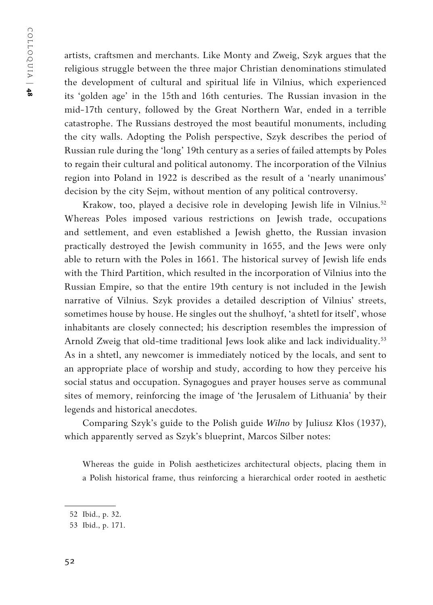artists, craftsmen and merchants. Like Monty and Zweig, Szyk argues that the religious struggle between the three major Christian denominations stimulated the development of cultural and spiritual life in Vilnius, which experienced its 'golden age' in the 15th and 16th centuries. The Russian invasion in the mid-17th century, followed by the Great Northern War, ended in a terrible catastrophe. The Russians destroyed the most beautiful monuments, including the city walls. Adopting the Polish perspective, Szyk describes the period of Russian rule during the 'long' 19th century as a series of failed attempts by Poles to regain their cultural and political autonomy. The incorporation of the Vilnius region into Poland in 1922 is described as the result of a 'nearly unanimous' decision by the city Sejm, without mention of any political controversy.

Krakow, too, played a decisive role in developing Jewish life in Vilnius.<sup>52</sup> Whereas Poles imposed various restrictions on Jewish trade, occupations and settlement, and even established a Jewish ghetto, the Russian invasion practically destroyed the Jewish community in 1655, and the Jews were only able to return with the Poles in 1661. The historical survey of Jewish life ends with the Third Partition, which resulted in the incorporation of Vilnius into the Russian Empire, so that the entire 19th century is not included in the Jewish narrative of Vilnius. Szyk provides a detailed description of Vilnius' streets, sometimes house by house. He singles out the shulhoyf, 'a shtetl for itself', whose inhabitants are closely connected; his description resembles the impression of Arnold Zweig that old-time traditional Jews look alike and lack individuality.<sup>53</sup> As in a shtetl, any newcomer is immediately noticed by the locals, and sent to an appropriate place of worship and study, according to how they perceive his social status and occupation. Synagogues and prayer houses serve as communal sites of memory, reinforcing the image of 'the Jerusalem of Lithuania' by their legends and historical anecdotes.

Comparing Szyk's guide to the Polish guide *Wilno* by Juliusz Kłos (1937), which apparently served as Szyk's blueprint, Marcos Silber notes:

Whereas the guide in Polish aestheticizes architectural objects, placing them in a Polish historical frame, thus reinforcing a hierarchical order rooted in aesthetic

<sup>52</sup> Ibid., p. 32.

<sup>53</sup> Ibid., p. 171.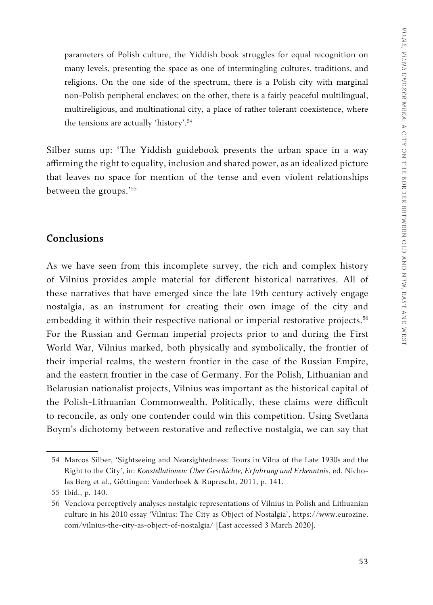parameters of Polish culture, the Yiddish book struggles for equal recognition on many levels, presenting the space as one of intermingling cultures, traditions, and religions. On the one side of the spectrum, there is a Polish city with marginal non-Polish peripheral enclaves; on the other, there is a fairly peaceful multilingual, multireligious, and multinational city, a place of rather tolerant coexistence, where the tensions are actually 'history'.54

Silber sums up: 'The Yiddish guidebook presents the urban space in a way affirming the right to equality, inclusion and shared power, as an idealized picture that leaves no space for mention of the tense and even violent relationships between the groups.'<sup>55</sup>

#### **Conclusions**

As we have seen from this incomplete survey, the rich and complex history of Vilnius provides ample material for different historical narratives. All of these narratives that have emerged since the late 19th century actively engage nostalgia, as an instrument for creating their own image of the city and embedding it within their respective national or imperial restorative projects.<sup>56</sup> For the Russian and German imperial projects prior to and during the First World War, Vilnius marked, both physically and symbolically, the frontier of their imperial realms, the western frontier in the case of the Russian Empire, and the eastern frontier in the case of Germany. For the Polish, Lithuanian and Belarusian nationalist projects, Vilnius was important as the historical capital of the Polish-Lithuanian Commonwealth. Politically, these claims were difficult to reconcile, as only one contender could win this competition. Using Svetlana Boym's dichotomy between restorative and reflective nostalgia, we can say that

<sup>54</sup> Marcos Silber, 'Sightseeing and Nearsightedness: Tours in Vilna of the Late 1930s and the Right to the City', in: *Konstellationen: Über Geschichte, Erfahrung und Erkenntnis*, ed. Nicholas Berg et al., Göttingen: Vanderhoek & Ruprescht, 2011, p. 141.

<sup>55</sup> Ibid., p. 140.

<sup>56</sup> Venclova perceptively analyses nostalgic representations of Vilnius in Polish and Lithuanian culture in his 2010 essay 'Vilnius: The City as Object of Nostalgia', https://www.eurozine. com/vilnius-the-city-as-object-of-nostalgia/ [Last accessed 3 March 2020].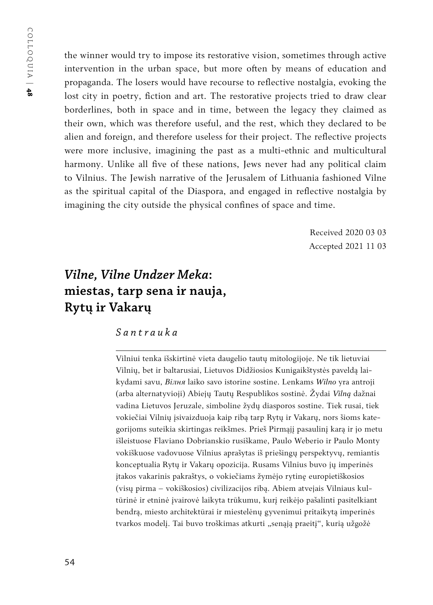the winner would try to impose its restorative vision, sometimes through active intervention in the urban space, but more often by means of education and propaganda. The losers would have recourse to reflective nostalgia, evoking the lost city in poetry, fiction and art. The restorative projects tried to draw clear borderlines, both in space and in time, between the legacy they claimed as their own, which was therefore useful, and the rest, which they declared to be alien and foreign, and therefore useless for their project. The reflective projects were more inclusive, imagining the past as a multi-ethnic and multicultural harmony. Unlike all five of these nations, Jews never had any political claim to Vilnius. The Jewish narrative of the Jerusalem of Lithuania fashioned Vilne as the spiritual capital of the Diaspora, and engaged in reflective nostalgia by imagining the city outside the physical confines of space and time.

> Received 2020 03 03 Accepted 2021 11 03

# *Vilne, Vilne Undzer Meka***: miestas, tarp sena ir nauja, Rytų ir Vakarų**

*Santrauka*

Vilniui tenka išskirtinė vieta daugelio tautų mitologijoje. Ne tik lietuviai Vilnių, bet ir baltarusiai, Lietuvos Didžiosios Kunigaikštystės paveldą laikydami savu, *Вiлня* laiko savo istorine sostine. Lenkams *Wilno* yra antroji (arba alternatyvioji) Abiejų Tautų Respublikos sostinė. Žydai *Vilną* dažnai vadina Lietuvos Jeruzale, simboline žydų diasporos sostine. Tiek rusai, tiek vokiečiai Vilnių įsivaizduoja kaip ribą tarp Rytų ir Vakarų, nors šioms kategorijoms suteikia skirtingas reikšmes. Prieš Pirmąjį pasaulinį karą ir jo metu išleistuose Flaviano Dobrianskio rusiškame, Paulo Weberio ir Paulo Monty vokiškuose vadovuose Vilnius aprašytas iš priešingų perspektyvų, remiantis konceptualia Rytų ir Vakarų opozicija. Rusams Vilnius buvo jų imperinės įtakos vakarinis pakraštys, o vokiečiams žymėjo rytinę europietiškosios (visų pirma – vokiškosios) civilizacijos ribą. Abiem atvejais Vilniaus kultūrinė ir etninė įvairovė laikyta trūkumu, kurį reikėjo pašalinti pasitelkiant bendrą, miesto architektūrai ir miestelėnų gyvenimui pritaikytą imperinės tvarkos modelį. Tai buvo troškimas atkurti "senąją praeitį", kurią užgožė